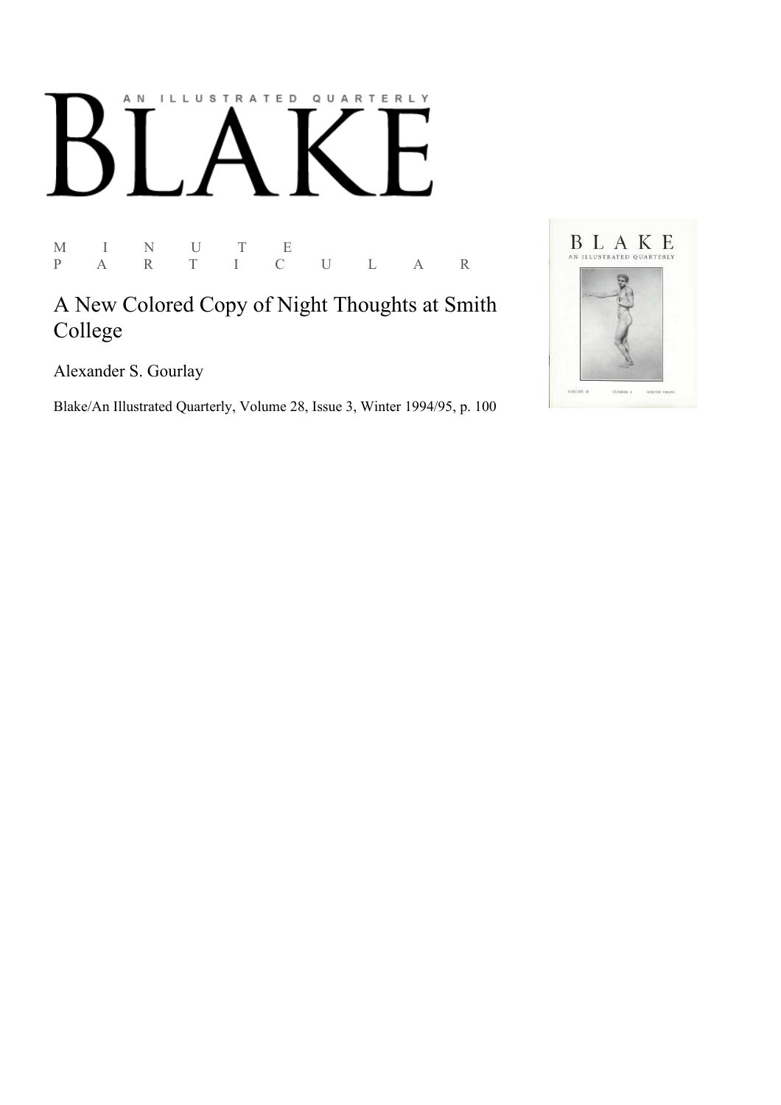## AN ILLUSTRATED QUARTERLY

M I N U T E P A R T I C U L A R

A New Colored Copy of Night Thoughts at Smith College

Alexander S. Gourlay

Blake/An Illustrated Quarterly, Volume 28, Issue 3, Winter 1994/95, p. 100